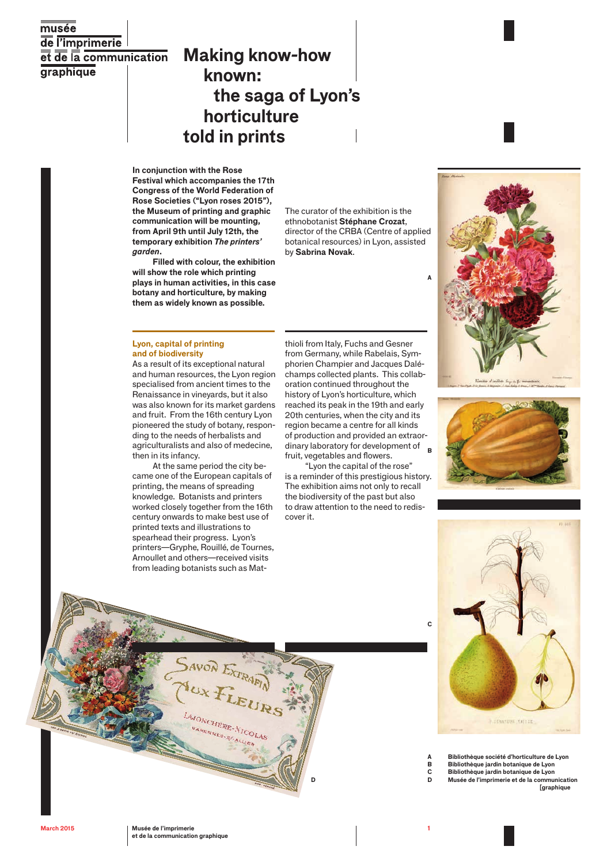# $\overline{\text{muse}}$ de l'imprimerie et de la communication **graphique**

# **Making know-how known: the saga of Lyon's horticulture told in prints**

**In conjunction with the Rose Festival which accompanies the 17th Congress of the World Federation of Rose Societies ("Lyon roses 2015"), the Museum of printing and graphic communication will be mounting, from April 9th until July 12th, the temporary exhibition** *The printers' garden***.**

**Filled with colour, the exhibition will show the role which printing plays in human activities, in this case botany and horticulture, by making them as widely known as possible.**

The curator of the exhibition is the ethnobotanist **Stéphane Crozat**, director of the CRBA (Centre of applied botanical resources) in Lyon, assisted by **Sabrina Novak**.

#### **Lyon, capital of printing and of biodiversity**

As a result of its exceptional natural and human resources, the Lyon region specialised from ancient times to the Renaissance in vineyards, but it also was also known for its market gardens and fruit. From the 16th century Lyon pioneered the study of botany, responding to the needs of herbalists and agriculturalists and also of medecine, then in its infancy.

At the same period the city became one of the European capitals of printing, the means of spreading knowledge. Botanists and printers worked closely together from the 16th century onwards to make best use of printed texts and illustrations to spearhead their progress. Lyon's printers—Gryphe, Rouillé, de Tournes, Arnoullet and others—received visits from leading botanists such as Mat-

SAVON EXTRAIN

LAJONCHÈRE-NICOLAS

thioli from Italy, Fuchs and Gesner from Germany, while Rabelais, Symphorien Champier and Jacques Daléchamps collected plants. This collaboration continued throughout the history of Lyon's horticulture, which reached its peak in the 19th and early 20th centuries, when the city and its region became a centre for all kinds of production and provided an extraordinary laboratory for development of fruit, vegetables and flowers. **B**

"Lyon the capital of the rose" is a reminder of this prestigious history. The exhibition aims not only to recall the biodiversity of the past but also to draw attention to the need to rediscover it.

**D**







- **A Bibliothèque société d'horticulture de Lyon B Bibliothèque jardin botanique de Lyon**
- **C Bibliothèque jardin botanique de Lyon D Musée de l'imprimerie et de la communication**
	- **[graphique**

**C**

**A**